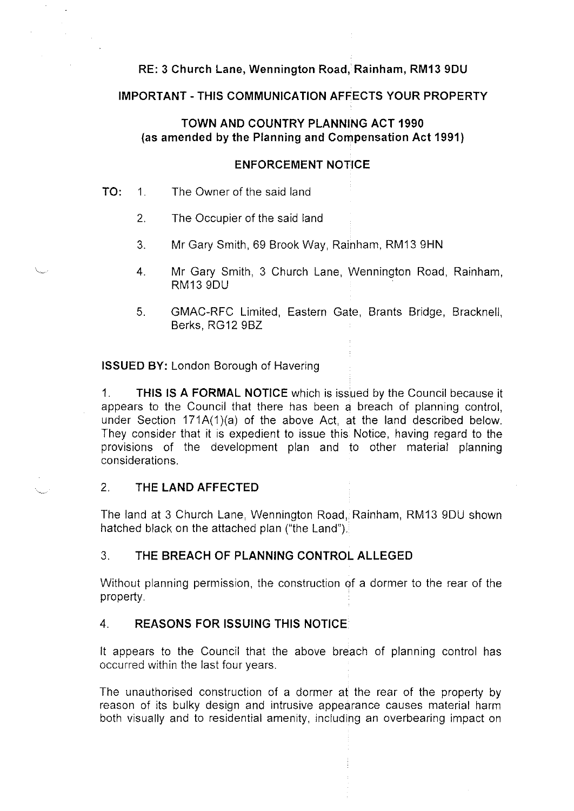# **RE: 3 Church Lane, Wennington Road, Rainham, RM13 9DU**

# **IMPORTANT-THIS COMMUNICATION AFFECTS YOUR PROPERTY**

# **TOWN AND COUNTRY PLANNING ACT 1990 (as amended by the Planning and Compensation Act 1991)**

# **ENFORCEMENT NOTICE**

## **TO:** 1. The Owner of the said land

- 2. The Occupier of the said land
- 3. Mr Gary Smith, 69 Brook Way, Rainham, RM13 9HN
- 4. Mr Gary Smith, 3 Church Lane, Wennington Road, Rainham, RM13 9DU
- 5. GMAC-RFC Limited, Eastern Gate, Brants Bridge, Bracknell, Berks, RG12 9BZ

**ISSUED BY:** London Borough of Havering

1. **THIS IS A FORMAL NOTICE** which is issued by the Council because it appears to the Council that there has been a breach of planning control, under Section 171A(1)(a) of the above Act, at the land described below. They consider that it is expedient to issue this Notice, having regard to the provisions of the development plan and to other material planning considerations.

# 2. **THE LAND AFFECTED**

The land at 3 Church Lane, Wennington Road, Rainham, RM13 9DU shown hatched black on the attached plan ("the Land").

# 3. **THE BREACH OF PLANNING CONTROL ALLEGED**

Without planning permission, the construction of a dormer to the rear of the property.

# 4. **REASONS FOR ISSUING THIS NOTICE**

It appears to the Council that the above breach of planning control has occurred within the last four years.

The unauthorised construction of a dormer at the rear of the property by reason of its bulky design and intrusive appearance causes material harm both visually and to residential amenity, including an overbearing impact on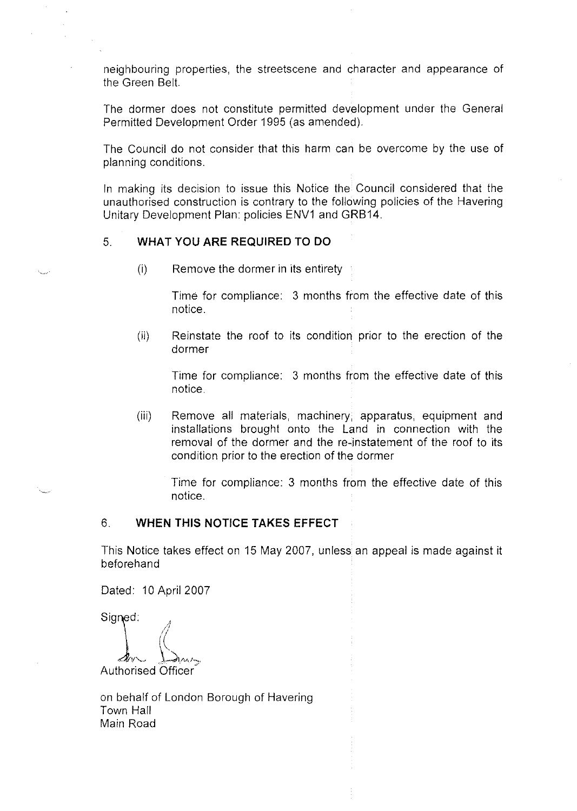neighbouring properties, the streetscene and character and appearance of the Green Belt.

The dormer does not constitute permitted development under the General Permitted Development Order 1995 (as amended).

The Council do not consider that this harm can be overcome by the use of planning conditions.

In making its decision to issue this Notice the Council considered that the unauthorised construction is contrary to the following policies of the Havering Unitary Development Plan: policies ENV1 and GRB14.

## 5. **WHAT YOU ARE REQUIRED TO DO**

(i) Remove the dormer in its entirety

Time for compliance: 3 months from the effective date of this notice.

(ii) Reinstate the roof to its condition prior to the erection of the dormer

Time for compliance: 3 months from the effective date of this notice.

(iii) Remove all materials, machinery, apparatus, equipment and installations brought onto the Land in connection with the removal of the dormer and the re-instatement of the roof to its condition prior to the erection of the dormer

Time for compliance: 3 months from the effective date of this notice.

## 6. **WHEN THIS NOTICE TAKES EFFECT**

This Notice takes effect on 15 May 2007, unless an appeal is made against it beforehand

Dated: 10 April 2007

Signed:

**Authorised Officer** 

on behalf of London Borough of Havering Town Hall Main Road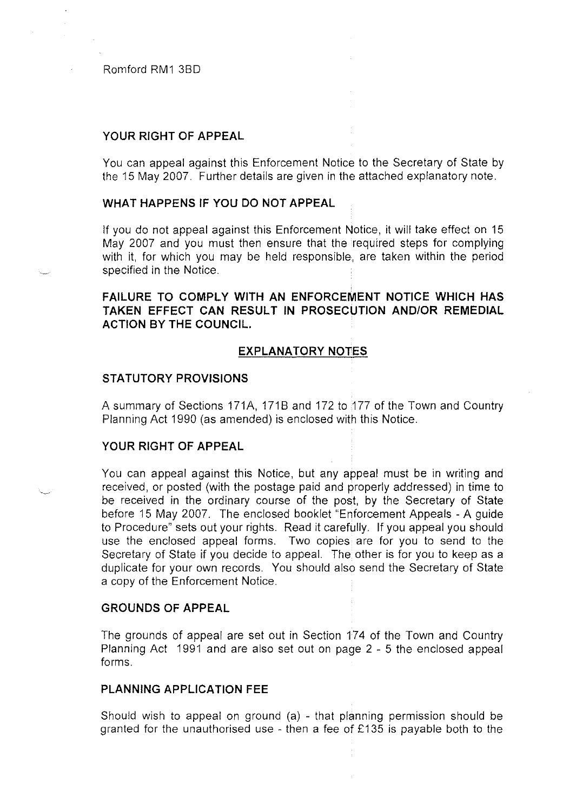## **YOUR RIGHT OF APPEAL**

You can appeal against this Enforcement Notice to the Secretary of State by the 15 May 2007. Further details are given in the attached explanatory note.

## **WHAT HAPPENS IF YOU DO NOT APPEAL**

If you do not appeal against this Enforcement Notice, it will take effect on 15 May 2007 and you must then ensure that the required steps for complying with it, for which you may be held responsible, are taken within the period specified in the Notice.

# **FAILURE TO COMPLY WITH AN ENFORCEMENT NOTICE WHICH HAS TAKEN EFFECT CAN RESULT IN PROSECUTION AND/OR REMEDIAL ACTION BY THE COUNCIL.**

## **EXPLANATORY NOTES**

## **STATUTORY PROVISIONS**

A summary of Sections 171A, 171B and 172 to 177 of the Town and Country Planning Act 1990 (as amended) is enclosed with this Notice.

## **YOUR RIGHT OF APPEAL**

You can appeal against this Notice, but any appeal must be in writing and received, or posted (with the postage paid and properly addressed) in time to be received in the ordinary course of the post, by the Secretary of State before 15 May 2007. The enclosed booklet "Enforcement Appeals - A guide to Procedure" sets out your rights. Read it carefully. If you appeal you should use the enclosed appeal forms. Two copies are for you to send to the Secretary of State if you decide to appeal. The other is for you to keep as a duplicate for your own records. You should also send the Secretary of State a copy of the Enforcement Notice.

#### **GROUNDS OF APPEAL**

The grounds of appeal are set out in Section 174 of the Town and Country Planning Act 1991 and are also set out on page 2 - 5 the enclosed appeal forms.

## **PLANNING APPLICATION FEE**

Should wish to appeal on ground (a) - that planning permission should be granted for the unauthorised use - then a fee of £135 is payable both to the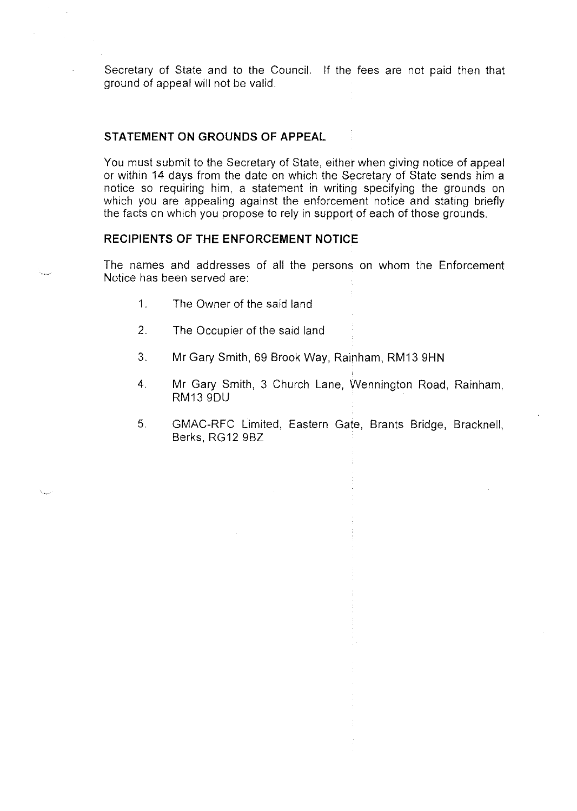Secretary of State and to the Council. If the fees are not paid then that ground of appeal will not be valid.

## **STATEMENT ON GROUNDS OF APPEAL**

You must submit to the Secretary of State, either when giving notice of appeal or within 14 days from the date on which the Secretary of State sends him a notice so requiring him, a statement in writing specifying the grounds on which you are appealing against the enforcement notice and stating briefly the facts on which you propose to rely in support of each of those grounds.

### **RECIPIENTS OF THE ENFORCEMENT NOTICE**

The names and addresses of all the persons on whom the Enforcement Notice has been served are:

- 1. The Owner of the said land
- 2. The Occupier of the said land
- 3. Mr Gary Smith, 69 Brook Way, Rainham, RM13 9HN
- 4. Mr Gary Smith, 3 Church Lane, Wennington Road, Rainham, RM13 9DU
- 5. GMAC-RFC Limited, Eastern Gate, Brants Bridge, Bracknell, Berks, RG 12 9BZ